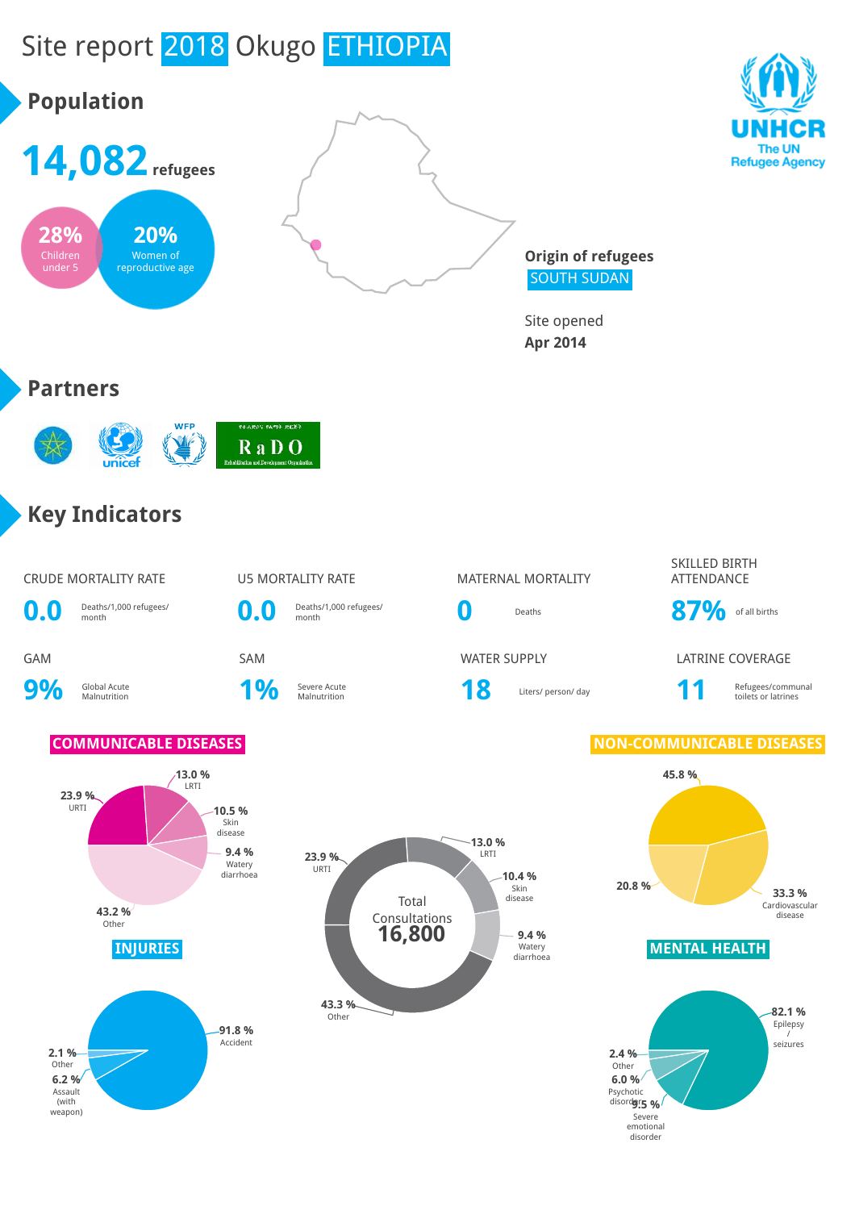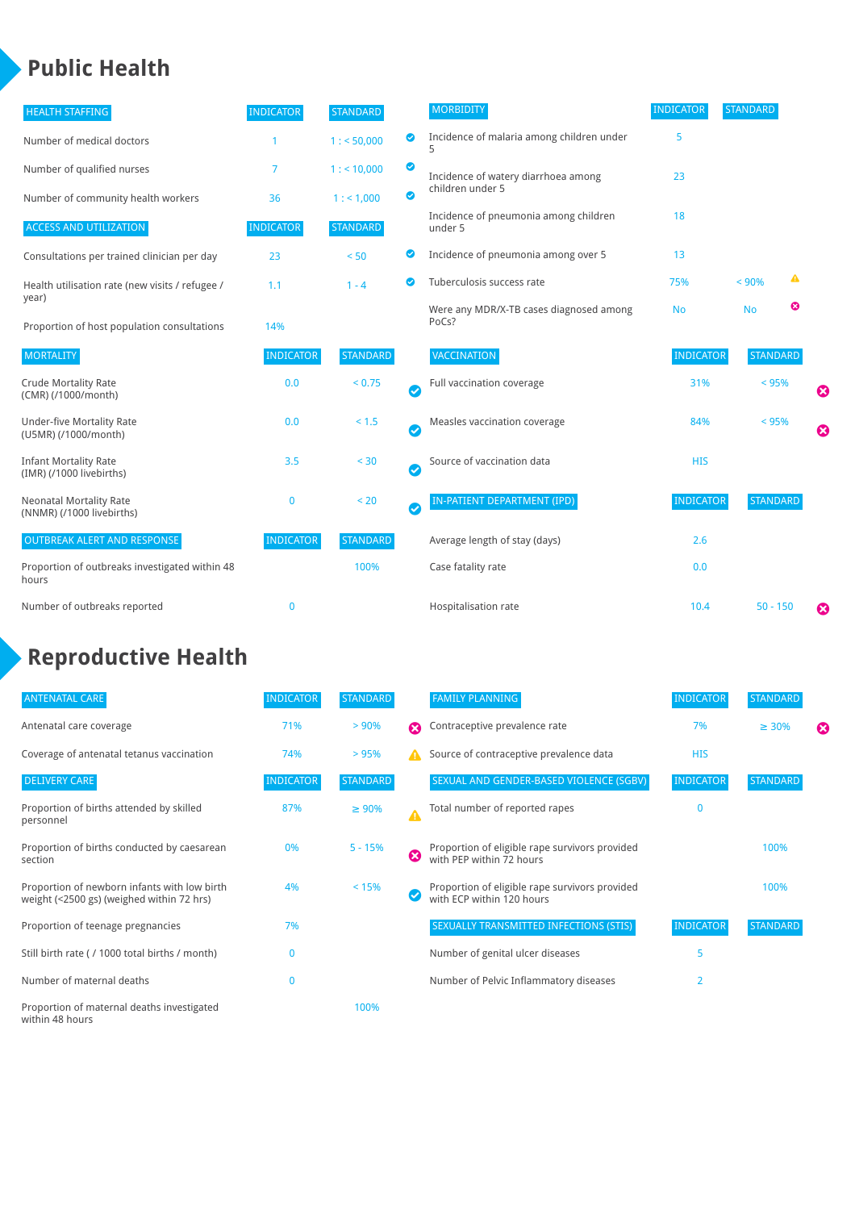### **Public Health**

| <b>HEALTH STAFFING</b>                                      | <b>INDICATOR</b> | <b>STANDARD</b> |                       | <b>MORBIDITY</b>                                 | <b>INDICATOR</b> | <b>STANDARD</b> |   |   |
|-------------------------------------------------------------|------------------|-----------------|-----------------------|--------------------------------------------------|------------------|-----------------|---|---|
| Number of medical doctors                                   |                  | 1: 50,000       | ◙                     | Incidence of malaria among children under        | 5                |                 |   |   |
| Number of qualified nurses                                  | $\overline{7}$   | $1:$ < 10,000   | ◙                     | Incidence of watery diarrhoea among              | 23               |                 |   |   |
| Number of community health workers                          | 36               | 1: 1,000        | ◙                     | children under 5                                 |                  |                 |   |   |
| <b>ACCESS AND UTILIZATION</b>                               | <b>INDICATOR</b> | <b>STANDARD</b> |                       | Incidence of pneumonia among children<br>under 5 | 18               |                 |   |   |
| Consultations per trained clinician per day                 | 23               | < 50            | ◉                     | Incidence of pneumonia among over 5              | 13               |                 |   |   |
| Health utilisation rate (new visits / refugee /             | 1.1              | $1 - 4$         | ◙                     | Tuberculosis success rate                        | 75%              | < 90%           | ▲ |   |
| year)<br>Proportion of host population consultations        | 14%              |                 |                       | Were any MDR/X-TB cases diagnosed among<br>PoCs? | <b>No</b>        | <b>No</b>       | ☺ |   |
| <b>MORTALITY</b>                                            | <b>INDICATOR</b> | <b>STANDARD</b> |                       | <b>VACCINATION</b>                               | <b>INDICATOR</b> | <b>STANDARD</b> |   |   |
| <b>Crude Mortality Rate</b><br>(CMR) (/1000/month)          | 0.0              | < 0.75          | $\bullet$             | Full vaccination coverage                        | 31%              | $< 95\%$        |   | Ø |
| <b>Under-five Mortality Rate</b><br>(U5MR) (/1000/month)    | 0.0              | $< 1.5$         | Ø                     | Measles vaccination coverage                     | 84%              | < 95%           |   | 0 |
| <b>Infant Mortality Rate</b><br>(IMR) (/1000 livebirths)    | 3.5              | < 30            | $\boldsymbol{\omega}$ | Source of vaccination data                       | <b>HIS</b>       |                 |   |   |
| <b>Neonatal Mortality Rate</b><br>(NNMR) (/1000 livebirths) | $\mathbf 0$      | < 20            | $\bullet$             | <b>IN-PATIENT DEPARTMENT (IPD)</b>               | <b>INDICATOR</b> | <b>STANDARD</b> |   |   |
| <b>OUTBREAK ALERT AND RESPONSE</b>                          | <b>INDICATOR</b> | <b>STANDARD</b> |                       | Average length of stay (days)                    | 2.6              |                 |   |   |
| Proportion of outbreaks investigated within 48<br>hours     |                  | 100%            |                       | Case fatality rate                               | 0.0              |                 |   |   |
| Number of outbreaks reported                                | $\mathbf 0$      |                 |                       | Hospitalisation rate                             | 10.4             | $50 - 150$      |   | Ø |

# **Reproductive Health**

| <b>ANTENATAL CARE</b>                                                                     | <b>INDICATOR</b> | <b>STANDARD</b> |                       | <b>FAMILY PLANNING</b>                                                      | <b>INDICATOR</b> | <b>STANDARD</b> |   |
|-------------------------------------------------------------------------------------------|------------------|-----------------|-----------------------|-----------------------------------------------------------------------------|------------------|-----------------|---|
| Antenatal care coverage                                                                   | 71%              | > 90%           | $\boldsymbol{\Omega}$ | Contraceptive prevalence rate                                               | 7%               | $\geq 30\%$     | ⊠ |
| Coverage of antenatal tetanus vaccination                                                 | 74%              | >95%            |                       | Source of contraceptive prevalence data                                     | <b>HIS</b>       |                 |   |
| <b>DELIVERY CARE</b>                                                                      | <b>INDICATOR</b> | <b>STANDARD</b> |                       | SEXUAL AND GENDER-BASED VIOLENCE (SGBV)                                     | <b>INDICATOR</b> | <b>STANDARD</b> |   |
| Proportion of births attended by skilled<br>personnel                                     | 87%              | $\geq 90\%$     | $\blacktriangle$      | Total number of reported rapes                                              | $\mathbf{0}$     |                 |   |
| Proportion of births conducted by caesarean<br>section                                    | 0%               | $5 - 15%$       | ظ                     | Proportion of eligible rape survivors provided<br>with PEP within 72 hours  |                  | 100%            |   |
| Proportion of newborn infants with low birth<br>weight (<2500 gs) (weighed within 72 hrs) | 4%               | < 15%           |                       | Proportion of eligible rape survivors provided<br>with ECP within 120 hours |                  | 100%            |   |
| Proportion of teenage pregnancies                                                         | 7%               |                 |                       | SEXUALLY TRANSMITTED INFECTIONS (STIS)                                      | <b>INDICATOR</b> | <b>STANDARD</b> |   |
| Still birth rate (/ 1000 total births / month)                                            | n                |                 |                       | Number of genital ulcer diseases                                            | 5                |                 |   |
| Number of maternal deaths                                                                 | $\mathbf{0}$     |                 |                       | Number of Pelvic Inflammatory diseases                                      | $\overline{2}$   |                 |   |
| Proportion of maternal deaths investigated<br>within 48 hours                             |                  | 100%            |                       |                                                                             |                  |                 |   |